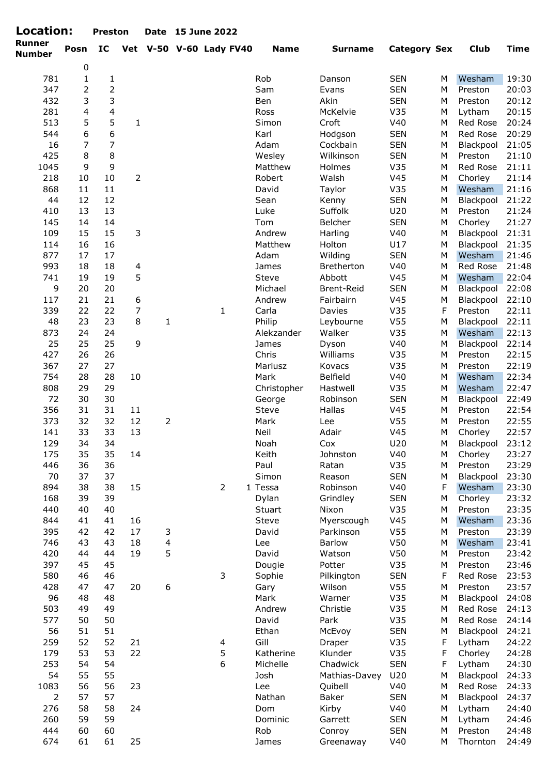| <b>Location:</b><br>Preston Date 15 June 2022 |  |
|-----------------------------------------------|--|
|-----------------------------------------------|--|

| Location:               |                | <b>Preston</b>          |                |              | Date 15 June 2022       |             |                |                     |   |             |             |
|-------------------------|----------------|-------------------------|----------------|--------------|-------------------------|-------------|----------------|---------------------|---|-------------|-------------|
| Runner<br><b>Number</b> | Posn           | IC                      |                |              | Vet V-50 V-60 Lady FV40 | <b>Name</b> | <b>Surname</b> | <b>Category Sex</b> |   | <b>Club</b> | <b>Time</b> |
|                         | $\pmb{0}$      |                         |                |              |                         |             |                |                     |   |             |             |
| 781                     | $\mathbf{1}$   | 1                       |                |              |                         | Rob         | Danson         | <b>SEN</b>          | M | Wesham      | 19:30       |
| 347                     | 2              | $\overline{2}$          |                |              |                         | Sam         | Evans          | <b>SEN</b>          | M | Preston     | 20:03       |
| 432                     | 3              | 3                       |                |              |                         | Ben         | Akin           | <b>SEN</b>          | M | Preston     | 20:12       |
| 281                     | $\overline{4}$ | $\overline{\mathbf{4}}$ |                |              |                         | Ross        | McKelvie       | V35                 | M | Lytham      | 20:15       |
| 513                     | 5              | 5                       | $\mathbf{1}$   |              |                         | Simon       | Croft          | V40                 | M | Red Rose    | 20:24       |
| 544                     | 6              | 6                       |                |              |                         | Karl        | Hodgson        | <b>SEN</b>          | M | Red Rose    | 20:29       |
| 16                      | 7              | 7                       |                |              |                         | Adam        | Cockbain       | <b>SEN</b>          | M | Blackpool   | 21:05       |
| 425                     | 8              | 8                       |                |              |                         | Wesley      | Wilkinson      | <b>SEN</b>          | M | Preston     | 21:10       |
| 1045                    | 9              | 9                       |                |              |                         | Matthew     | Holmes         | V35                 | M | Red Rose    | 21:11       |
| 218                     | 10             | $10\,$                  | 2              |              |                         | Robert      | Walsh          | V45                 | M | Chorley     | 21:14       |
| 868                     | 11             | 11                      |                |              |                         | David       | Taylor         | V35                 | M | Wesham      | 21:16       |
| 44                      | 12             | 12                      |                |              |                         | Sean        | Kenny          | <b>SEN</b>          | M | Blackpool   | 21:22       |
| 410                     | 13             | 13                      |                |              |                         | Luke        | Suffolk        | U20                 | M | Preston     | 21:24       |
| 145                     | 14             | 14                      |                |              |                         | Tom         | Belcher        | <b>SEN</b>          | M | Chorley     | 21:27       |
| 109                     | 15             | 15                      | 3              |              |                         | Andrew      | Harling        | V40                 | M | Blackpool   | 21:31       |
| 114                     | 16             | 16                      |                |              |                         | Matthew     | Holton         | U17                 | M | Blackpool   | 21:35       |
| 877                     | 17             | 17                      |                |              |                         | Adam        | Wilding        | <b>SEN</b>          | M | Wesham      | 21:46       |
| 993                     | 18             | 18                      | $\overline{4}$ |              |                         | James       | Bretherton     | V40                 | M | Red Rose    | 21:48       |
| 741                     | 19             | 19                      | 5              |              |                         | Steve       | Abbott         | V45                 | M | Wesham      | 22:04       |
| 9                       | 20             | 20                      |                |              |                         | Michael     | Brent-Reid     | <b>SEN</b>          | M | Blackpool   | 22:08       |
| 117                     | 21             | 21                      | 6              |              |                         | Andrew      | Fairbairn      | V45                 | M | Blackpool   | 22:10       |
| 339                     | 22             | 22                      | $\overline{7}$ |              | $\mathbf{1}$            | Carla       | Davies         | V35                 | F | Preston     | 22:11       |
| 48                      | 23             | 23                      | 8              | $\mathbf{1}$ |                         | Philip      | Leybourne      | V <sub>55</sub>     | M | Blackpool   | 22:11       |
| 873                     | 24             | 24                      |                |              |                         | Alekzander  | Walker         | V35                 | M | Wesham      | 22:13       |
| 25                      | 25             | 25                      | 9              |              |                         | James       | Dyson          | V40                 | M | Blackpool   | 22:14       |
| 427                     | 26             | 26                      |                |              |                         | Chris       | Williams       | V35                 | M | Preston     | 22:15       |
|                         | 27             | 27                      |                |              |                         |             |                | V35                 | M | Preston     | 22:19       |
| 367<br>754              |                |                         |                |              |                         | Mariusz     | Kovacs         |                     |   |             |             |
|                         | 28             | 28                      | 10             |              |                         | Mark        | Belfield       | V40                 | M | Wesham      | 22:34       |
| 808                     | 29             | 29                      |                |              |                         | Christopher | Hastwell       | V35                 | M | Wesham      | 22:47       |
| 72                      | 30             | 30                      |                |              |                         | George      | Robinson       | <b>SEN</b>          | M | Blackpool   | 22:49       |
| 356                     | 31             | 31                      | 11             |              |                         | Steve       | Hallas         | V45                 | M | Preston     | 22:54       |
| 373                     | 32             | 32                      | 12             | 2            |                         | Mark        | Lee            | V <sub>55</sub>     | M | Preston     | 22:55       |
| 141                     | 33             | 33                      | 13             |              |                         | Neil        | Adair          | V <sub>45</sub>     | М | Chorley     | 22:57       |
| 129                     | 34             | 34                      |                |              |                         | Noah        | Cox            | U20                 | M | Blackpool   | 23:12       |
| 175                     | 35             | 35                      | 14             |              |                         | Keith       | Johnston       | V40                 | М | Chorley     | 23:27       |
| 446                     | 36             | 36                      |                |              |                         | Paul        | Ratan          | V35                 | М | Preston     | 23:29       |
| 70                      | 37             | 37                      |                |              |                         | Simon       | Reason         | <b>SEN</b>          | М | Blackpool   | 23:30       |
| 894                     | 38             | 38                      | 15             |              | $\overline{2}$          | 1 Tessa     | Robinson       | V40                 | F | Wesham      | 23:30       |
| 168                     | 39             | 39                      |                |              |                         | Dylan       | Grindley       | <b>SEN</b>          | М | Chorley     | 23:32       |
| 440                     | 40             | 40                      |                |              |                         | Stuart      | Nixon          | V35                 | М | Preston     | 23:35       |
| 844                     | 41             | 41                      | 16             |              |                         | Steve       | Myerscough     | V <sub>45</sub>     | M | Wesham      | 23:36       |
| 395                     | 42             | 42                      | 17             | 3            |                         | David       | Parkinson      | V <sub>55</sub>     | М | Preston     | 23:39       |
| 746                     | 43             | 43                      | 18             | 4            |                         | Lee         | <b>Barlow</b>  | V50                 | M | Wesham      | 23:41       |
| 420                     | 44             | 44                      | 19             | 5            |                         | David       | Watson         | V50                 | М | Preston     | 23:42       |
| 397                     | 45             | 45                      |                |              |                         | Dougie      | Potter         | V35                 | М | Preston     | 23:46       |
| 580                     | 46             | 46                      |                |              | 3                       | Sophie      | Pilkington     | <b>SEN</b>          | F | Red Rose    | 23:53       |
| 428                     | 47             | 47                      | 20             | 6            |                         | Gary        | Wilson         | V <sub>55</sub>     | M | Preston     | 23:57       |
| 96                      | 48             | 48                      |                |              |                         | Mark        | Warner         | V35                 | M | Blackpool   | 24:08       |
| 503                     | 49             | 49                      |                |              |                         | Andrew      | Christie       | V35                 | M | Red Rose    | 24:13       |
| 577                     | 50             | 50                      |                |              |                         | David       | Park           | V35                 | M | Red Rose    | 24:14       |
| 56                      | 51             | 51                      |                |              |                         | Ethan       | McEvoy         | <b>SEN</b>          | M | Blackpool   | 24:21       |
| 259                     | 52             | 52                      | 21             |              | 4                       | Gill        | Draper         | V35                 | F | Lytham      | 24:22       |
| 179                     | 53             | 53                      | 22             |              | 5                       | Katherine   | Klunder        | V35                 | F | Chorley     | 24:28       |
| 253                     | 54             | 54                      |                |              | 6                       | Michelle    | Chadwick       | <b>SEN</b>          | F | Lytham      | 24:30       |
| 54                      | 55             | 55                      |                |              |                         | Josh        | Mathias-Davey  | U20                 | М | Blackpool   | 24:33       |
| 1083                    | 56             | 56                      | 23             |              |                         | Lee         | Quibell        | V40                 | М | Red Rose    | 24:33       |
| $\overline{2}$          | 57             | 57                      |                |              |                         | Nathan      | Baker          | <b>SEN</b>          | М | Blackpool   | 24:37       |
|                         |                |                         |                |              |                         |             |                |                     |   |             |             |
| 276                     | 58             | 58                      | 24             |              |                         | Dom         | Kirby          | V40                 | М | Lytham      | 24:40       |
| 260                     | 59             | 59                      |                |              |                         | Dominic     | Garrett        | <b>SEN</b>          | М | Lytham      | 24:46       |
| 444                     | 60             | 60                      |                |              |                         | Rob         | Conroy         | <b>SEN</b>          | М | Preston     | 24:48       |
| 674                     | 61             | 61                      | 25             |              |                         | James       | Greenaway      | V40                 | М | Thornton    | 24:49       |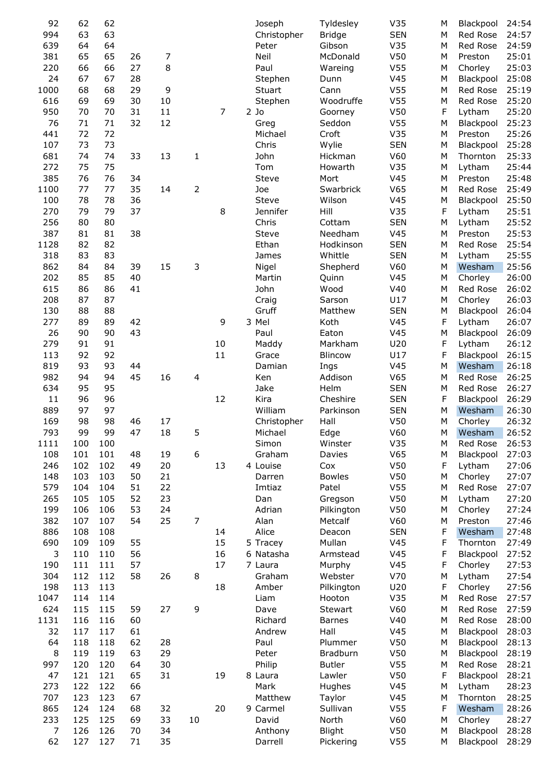| 92               | 62  | 62  |    |    |                |    | Joseph       | Tyldesley      | V35             | М | Blackpool | 24:54 |
|------------------|-----|-----|----|----|----------------|----|--------------|----------------|-----------------|---|-----------|-------|
|                  |     |     |    |    |                |    |              |                |                 |   |           |       |
| 994              | 63  | 63  |    |    |                |    | Christopher  | <b>Bridge</b>  | <b>SEN</b>      | M | Red Rose  | 24:57 |
| 639              | 64  | 64  |    |    |                |    | Peter        | Gibson         | V35             | M | Red Rose  | 24:59 |
| 381              | 65  | 65  | 26 | 7  |                |    | Neil         | McDonald       | V <sub>50</sub> | M | Preston   | 25:01 |
| 220              | 66  | 66  | 27 | 8  |                |    | Paul         | Wareing        | V <sub>55</sub> | M | Chorley   | 25:03 |
| 24               | 67  | 67  | 28 |    |                |    | Stephen      | Dunn           | V <sub>45</sub> | M | Blackpool | 25:08 |
|                  |     |     |    |    |                |    |              |                |                 |   |           |       |
| 1000             | 68  | 68  | 29 | 9  |                |    | Stuart       | Cann           | V <sub>55</sub> | M | Red Rose  | 25:19 |
| 616              | 69  | 69  | 30 | 10 |                |    | Stephen      | Woodruffe      | V <sub>55</sub> | M | Red Rose  | 25:20 |
| 950              | 70  | 70  | 31 | 11 |                | 7  | $2$ Jo       | Goorney        | V <sub>50</sub> | F | Lytham    | 25:20 |
| 76               | 71  | 71  | 32 | 12 |                |    | Greg         | Seddon         | V <sub>55</sub> | M | Blackpool | 25:23 |
| 441              | 72  | 72  |    |    |                |    | Michael      | Croft          | V35             | M | Preston   | 25:26 |
|                  |     | 73  |    |    |                |    |              |                |                 |   |           |       |
| 107              | 73  |     |    |    |                |    | Chris        | Wylie          | <b>SEN</b>      | M | Blackpool | 25:28 |
| 681              | 74  | 74  | 33 | 13 | 1              |    | John         | Hickman        | V60             | M | Thornton  | 25:33 |
| 272              | 75  | 75  |    |    |                |    | Tom          | Howarth        | V35             | M | Lytham    | 25:44 |
| 385              | 76  | 76  | 34 |    |                |    | Steve        | Mort           | V <sub>45</sub> | M | Preston   | 25:48 |
| 1100             | 77  | 77  | 35 | 14 | $\overline{2}$ |    | Joe          | Swarbrick      | V65             | M | Red Rose  | 25:49 |
|                  |     |     |    |    |                |    |              |                |                 |   |           |       |
| 100              | 78  | 78  | 36 |    |                |    | <b>Steve</b> | Wilson         | V <sub>45</sub> | M | Blackpool | 25:50 |
| 270              | 79  | 79  | 37 |    |                | 8  | Jennifer     | Hill           | V35             | F | Lytham    | 25:51 |
| 256              | 80  | 80  |    |    |                |    | Chris        | Cottam         | <b>SEN</b>      | M | Lytham    | 25:52 |
| 387              | 81  | 81  | 38 |    |                |    | <b>Steve</b> | Needham        | V <sub>45</sub> | M | Preston   | 25:53 |
| 1128             | 82  | 82  |    |    |                |    | Ethan        | Hodkinson      | <b>SEN</b>      | M | Red Rose  | 25:54 |
| 318              | 83  | 83  |    |    |                |    | James        | Whittle        | <b>SEN</b>      | M | Lytham    | 25:55 |
|                  |     |     |    |    |                |    |              |                |                 |   |           |       |
| 862              | 84  | 84  | 39 | 15 | 3              |    | Nigel        | Shepherd       | V60             | M | Wesham    | 25:56 |
| 202              | 85  | 85  | 40 |    |                |    | Martin       | Quinn          | V <sub>45</sub> | M | Chorley   | 26:00 |
| 615              | 86  | 86  | 41 |    |                |    | John         | Wood           | V40             | M | Red Rose  | 26:02 |
| 208              | 87  | 87  |    |    |                |    | Craig        | Sarson         | U17             | M | Chorley   | 26:03 |
| 130              | 88  | 88  |    |    |                |    | Gruff        | Matthew        | <b>SEN</b>      | M | Blackpool | 26:04 |
| 277              | 89  | 89  | 42 |    |                | 9  | 3 Mel        | Koth           | V <sub>45</sub> | F | Lytham    | 26:07 |
| 26               | 90  | 90  | 43 |    |                |    |              | Eaton          | V <sub>45</sub> |   | Blackpool |       |
|                  |     |     |    |    |                |    | Paul         |                |                 | M |           | 26:09 |
| 279              | 91  | 91  |    |    |                | 10 | Maddy        | Markham        | U20             | F | Lytham    | 26:12 |
| 113              | 92  | 92  |    |    |                | 11 | Grace        | <b>Blincow</b> | U17             | F | Blackpool | 26:15 |
| 819              | 93  | 93  | 44 |    |                |    | Damian       | Ings           | V <sub>45</sub> | M | Wesham    | 26:18 |
| 982              | 94  | 94  | 45 | 16 | 4              |    | Ken          | Addison        | V65             | M | Red Rose  | 26:25 |
| 634              | 95  | 95  |    |    |                |    | Jake         | Helm           | <b>SEN</b>      | M | Red Rose  | 26:27 |
| 11               | 96  | 96  |    |    |                | 12 | Kira         | Cheshire       | <b>SEN</b>      | F | Blackpool | 26:29 |
|                  | 97  | 97  |    |    |                |    | William      | Parkinson      |                 | M |           |       |
| 889              |     |     |    |    |                |    |              |                | <b>SEN</b>      |   | Wesham    | 26:30 |
| 169              | 98  | 98  | 46 | 17 |                |    | Christopher  | Hall           | V <sub>50</sub> | М | Chorley   | 26:32 |
| 793              | 99  | 99  | 47 | 18 | 5              |    | Michael      | Edge           | V60             | M | Wesham    | 26:52 |
| 1111             | 100 | 100 |    |    |                |    | Simon        | Winster        | V35             | М | Red Rose  | 26:53 |
| 108              | 101 | 101 | 48 | 19 | 6              |    | Graham       | Davies         | V65             | M | Blackpool | 27:03 |
| 246              | 102 | 102 | 49 | 20 |                | 13 | 4 Louise     | Cox            | V50             | F | Lytham    | 27:06 |
| 148              | 103 | 103 | 50 | 21 |                |    | Darren       | <b>Bowles</b>  | V50             | M | Chorley   | 27:07 |
|                  |     |     |    |    |                |    |              |                |                 |   |           |       |
| 579              | 104 | 104 | 51 | 22 |                |    | Imtiaz       | Patel          | V <sub>55</sub> | M | Red Rose  | 27:07 |
| 265              | 105 | 105 | 52 | 23 |                |    | Dan          | Gregson        | V50             | M | Lytham    | 27:20 |
| 199              | 106 | 106 | 53 | 24 |                |    | Adrian       | Pilkington     | V50             | M | Chorley   | 27:24 |
| 382              | 107 | 107 | 54 | 25 | $\overline{7}$ |    | Alan         | Metcalf        | V60             | M | Preston   | 27:46 |
| 886              | 108 | 108 |    |    |                | 14 | Alice        | Deacon         | <b>SEN</b>      | F | Wesham    | 27:48 |
| 690              | 109 | 109 | 55 |    |                | 15 | 5 Tracey     | Mullan         | V45             | F | Thornton  | 27:49 |
| 3                | 110 | 110 | 56 |    |                | 16 | 6 Natasha    | Armstead       | V45             | F | Blackpool | 27:52 |
|                  |     |     |    |    |                |    |              |                |                 |   |           |       |
| 190              | 111 | 111 | 57 |    |                | 17 | 7 Laura      | Murphy         | V45             | F | Chorley   | 27:53 |
| 304              | 112 | 112 | 58 | 26 | 8              |    | Graham       | Webster        | V70             | M | Lytham    | 27:54 |
| 198              | 113 | 113 |    |    |                | 18 | Amber        | Pilkington     | U20             | F | Chorley   | 27:56 |
| 1047             | 114 | 114 |    |    |                |    | Liam         | Hooton         | V35             | M | Red Rose  | 27:57 |
| 624              | 115 | 115 | 59 | 27 | 9              |    | Dave         | Stewart        | V60             | M | Red Rose  | 27:59 |
| 1131             | 116 | 116 | 60 |    |                |    | Richard      | <b>Barnes</b>  | V40             | M | Red Rose  | 28:00 |
| 32               | 117 | 117 | 61 |    |                |    | Andrew       | Hall           | V45             | M | Blackpool | 28:03 |
|                  |     |     |    |    |                |    |              |                |                 |   |           |       |
| 64               | 118 | 118 | 62 | 28 |                |    | Paul         | Plummer        | V50             | M | Blackpool | 28:13 |
| 8                | 119 | 119 | 63 | 29 |                |    | Peter        | Bradburn       | V50             | M | Blackpool | 28:19 |
| 997              | 120 | 120 | 64 | 30 |                |    | Philip       | <b>Butler</b>  | V <sub>55</sub> | M | Red Rose  | 28:21 |
| 47               | 121 | 121 | 65 | 31 |                | 19 | 8 Laura      | Lawler         | V50             | F | Blackpool | 28:21 |
| 273              | 122 | 122 | 66 |    |                |    | Mark         | Hughes         | V45             | M | Lytham    | 28:23 |
| 707              | 123 | 123 | 67 |    |                |    | Matthew      | Taylor         | V45             | M | Thornton  | 28:25 |
| 865              | 124 | 124 | 68 | 32 |                | 20 | 9 Carmel     | Sullivan       | V <sub>55</sub> | F | Wesham    | 28:26 |
| 233              | 125 | 125 |    | 33 | 10             |    | David        | North          | V60             |   |           | 28:27 |
|                  |     |     | 69 |    |                |    |              |                |                 | M | Chorley   |       |
| $\boldsymbol{7}$ | 126 | 126 | 70 | 34 |                |    | Anthony      | <b>Blight</b>  | V50             | M | Blackpool | 28:28 |
| 62               | 127 | 127 | 71 | 35 |                |    | Darrell      | Pickering      | V <sub>55</sub> | м | Blackpool | 28:29 |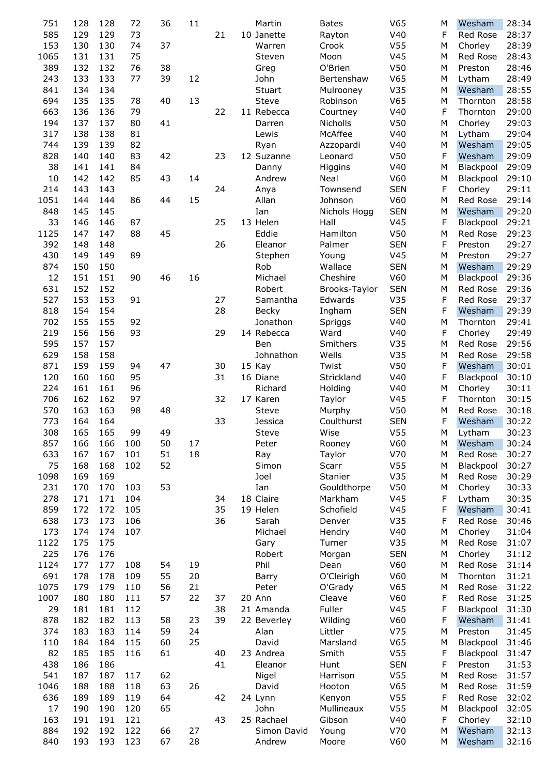| 751  | 128 | 128 | 72  | 36 | 11 |    | Martin       | <b>Bates</b>  | V <sub>65</sub> | М | Wesham    | 28:34 |
|------|-----|-----|-----|----|----|----|--------------|---------------|-----------------|---|-----------|-------|
| 585  | 129 | 129 | 73  |    |    | 21 | 10 Janette   | Rayton        | V40             | F | Red Rose  | 28:37 |
| 153  | 130 | 130 | 74  | 37 |    |    | Warren       | Crook         | V <sub>55</sub> | М | Chorley   | 28:39 |
| 1065 | 131 | 131 | 75  |    |    |    | Steven       | Moon          | V <sub>45</sub> | M | Red Rose  | 28:43 |
| 389  | 132 | 132 | 76  | 38 |    |    | Greg         | O'Brien       | V50             | M | Preston   | 28:46 |
| 243  | 133 | 133 | 77  | 39 | 12 |    | John         | Bertenshaw    | V65             | M | Lytham    | 28:49 |
| 841  | 134 | 134 |     |    |    |    | Stuart       | Mulrooney     | V35             | М | Wesham    | 28:55 |
|      |     |     |     |    |    |    |              |               |                 |   |           |       |
| 694  | 135 | 135 | 78  | 40 | 13 |    | Steve        | Robinson      | V65             | M | Thornton  | 28:58 |
| 663  | 136 | 136 | 79  |    |    | 22 | 11 Rebecca   | Courtney      | V40             | F | Thornton  | 29:00 |
| 194  | 137 | 137 | 80  | 41 |    |    | Darren       | Nicholls      | V50             | M | Chorley   | 29:03 |
| 317  | 138 | 138 | 81  |    |    |    | Lewis        | McAffee       | V40             | M | Lytham    | 29:04 |
| 744  | 139 | 139 | 82  |    |    |    | Ryan         | Azzopardi     | V40             | М | Wesham    | 29:05 |
| 828  | 140 | 140 | 83  | 42 |    | 23 | 12 Suzanne   | Leonard       | V50             | F | Wesham    | 29:09 |
| 38   | 141 | 141 | 84  |    |    |    | Danny        | Higgins       | V40             | M | Blackpool | 29:09 |
|      |     |     |     |    |    |    |              |               |                 |   |           |       |
| 10   | 142 | 142 | 85  | 43 | 14 |    | Andrew       | Neal          | V60             | M | Blackpool | 29:10 |
| 214  | 143 | 143 |     |    |    | 24 | Anya         | Townsend      | <b>SEN</b>      | F | Chorley   | 29:11 |
| 1051 | 144 | 144 | 86  | 44 | 15 |    | Allan        | Johnson       | V60             | M | Red Rose  | 29:14 |
| 848  | 145 | 145 |     |    |    |    | Ian          | Nichols Hogg  | <b>SEN</b>      | M | Wesham    | 29:20 |
| 33   | 146 | 146 | 87  |    |    | 25 | 13 Helen     | Hall          | V <sub>45</sub> | F | Blackpool | 29:21 |
| 1125 | 147 | 147 | 88  | 45 |    |    | Eddie        | Hamilton      | V50             | M | Red Rose  | 29:23 |
| 392  | 148 | 148 |     |    |    | 26 | Eleanor      | Palmer        | <b>SEN</b>      | F | Preston   | 29:27 |
|      |     |     |     |    |    |    |              |               |                 |   |           |       |
| 430  | 149 | 149 | 89  |    |    |    | Stephen      | Young         | V <sub>45</sub> | M | Preston   | 29:27 |
| 874  | 150 | 150 |     |    |    |    | Rob          | Wallace       | <b>SEN</b>      | M | Wesham    | 29:29 |
| 12   | 151 | 151 | 90  | 46 | 16 |    | Michael      | Cheshire      | V60             | M | Blackpool | 29:36 |
| 631  | 152 | 152 |     |    |    |    | Robert       | Brooks-Taylor | <b>SEN</b>      | M | Red Rose  | 29:36 |
| 527  | 153 | 153 | 91  |    |    | 27 | Samantha     | Edwards       | V35             | F | Red Rose  | 29:37 |
| 818  | 154 | 154 |     |    |    | 28 | <b>Becky</b> | Ingham        | <b>SEN</b>      | F | Wesham    | 29:39 |
| 702  | 155 | 155 | 92  |    |    |    | Jonathon     | Spriggs       | V40             | M | Thornton  | 29:41 |
|      |     |     |     |    |    |    |              |               |                 |   |           |       |
| 219  | 156 | 156 | 93  |    |    | 29 | 14 Rebecca   | Ward          | V40             | F | Chorley   | 29:49 |
| 595  | 157 | 157 |     |    |    |    | Ben          | Smithers      | V35             | M | Red Rose  | 29:56 |
| 629  | 158 | 158 |     |    |    |    | Johnathon    | Wells         | V35             | M | Red Rose  | 29:58 |
| 871  | 159 | 159 | 94  | 47 |    | 30 | 15 Kay       | Twist         | V50             | F | Wesham    | 30:01 |
| 120  | 160 | 160 | 95  |    |    | 31 | 16 Diane     | Strickland    | V40             | F | Blackpool | 30:10 |
| 224  | 161 | 161 | 96  |    |    |    | Richard      | Holding       | V40             | M | Chorley   | 30:11 |
| 706  | 162 | 162 | 97  |    |    | 32 | 17 Karen     | Taylor        | V <sub>45</sub> | F | Thornton  | 30:15 |
| 570  | 163 | 163 | 98  | 48 |    |    | Steve        |               | V50             | M | Red Rose  | 30:18 |
|      |     |     |     |    |    |    |              | Murphy        |                 |   |           |       |
| 773  | 164 | 164 |     |    |    | 33 | Jessica      | Coulthurst    | <b>SEN</b>      | F | Wesham    | 30:22 |
| 308  | 165 | 165 | 99  | 49 |    |    | <b>Steve</b> | Wise          | V <sub>55</sub> | M | Lytham    | 30:23 |
| 857  | 166 | 166 | 100 | 50 | 17 |    | Peter        | Rooney        | V60             | M | Wesham    | 30:24 |
| 633  | 167 | 167 | 101 | 51 | 18 |    | Ray          | Taylor        | V70             | M | Red Rose  | 30:27 |
| 75   | 168 | 168 | 102 | 52 |    |    | Simon        | Scarr         | V <sub>55</sub> | M | Blackpool | 30:27 |
| 1098 | 169 | 169 |     |    |    |    | Joel         | Stanier       | V35             | M | Red Rose  | 30:29 |
| 231  | 170 | 170 | 103 | 53 |    |    | Ian          | Gouldthorpe   | V50             | M | Chorley   | 30:33 |
| 278  | 171 | 171 | 104 |    |    | 34 | 18 Claire    | Markham       | V <sub>45</sub> | F | Lytham    | 30:35 |
|      |     |     |     |    |    |    |              |               |                 |   |           |       |
| 859  | 172 | 172 | 105 |    |    | 35 | 19 Helen     | Schofield     | V <sub>45</sub> | F | Wesham    | 30:41 |
| 638  | 173 | 173 | 106 |    |    | 36 | Sarah        | Denver        | V35             | F | Red Rose  | 30:46 |
| 173  | 174 | 174 | 107 |    |    |    | Michael      | Hendry        | V40             | M | Chorley   | 31:04 |
| 1122 | 175 | 175 |     |    |    |    | Gary         | Turner        | V35             | M | Red Rose  | 31:07 |
| 225  | 176 | 176 |     |    |    |    | Robert       | Morgan        | <b>SEN</b>      | M | Chorley   | 31:12 |
| 1124 | 177 | 177 | 108 | 54 | 19 |    | Phil         | Dean          | V60             | M | Red Rose  | 31:14 |
| 691  | 178 | 178 | 109 | 55 | 20 |    | Barry        | O'Cleirigh    | V60             | M | Thornton  | 31:21 |
| 1075 | 179 | 179 | 110 | 56 | 21 |    | Peter        | O'Grady       | V65             | M | Red Rose  | 31:22 |
|      |     |     |     |    |    |    |              |               |                 |   |           |       |
| 1007 | 180 | 180 | 111 | 57 | 22 | 37 | 20 Ann       | Cleave        | V60             | F | Red Rose  | 31:25 |
| 29   | 181 | 181 | 112 |    |    | 38 | 21 Amanda    | Fuller        | V <sub>45</sub> | F | Blackpool | 31:30 |
| 878  | 182 | 182 | 113 | 58 | 23 | 39 | 22 Beverley  | Wilding       | V60             | F | Wesham    | 31:41 |
| 374  | 183 | 183 | 114 | 59 | 24 |    | Alan         | Littler       | V75             | M | Preston   | 31:45 |
| 110  | 184 | 184 | 115 | 60 | 25 |    | David        | Marsland      | V65             | M | Blackpool | 31:46 |
| 82   | 185 | 185 | 116 | 61 |    | 40 | 23 Andrea    | Smith         | V <sub>55</sub> | F | Blackpool | 31:47 |
| 438  | 186 | 186 |     |    |    | 41 | Eleanor      | Hunt          | <b>SEN</b>      | F | Preston   | 31:53 |
|      |     |     |     |    |    |    |              |               |                 |   |           |       |
| 541  | 187 | 187 | 117 | 62 |    |    | Nigel        | Harrison      | V <sub>55</sub> | M | Red Rose  | 31:57 |
| 1046 | 188 | 188 | 118 | 63 | 26 |    | David        | Hooton        | V65             | M | Red Rose  | 31:59 |
| 636  | 189 | 189 | 119 | 64 |    | 42 | 24 Lynn      | Kenyon        | V <sub>55</sub> | F | Red Rose  | 32:02 |
| 17   | 190 | 190 | 120 | 65 |    |    | John         | Mullineaux    | V <sub>55</sub> | M | Blackpool | 32:05 |
| 163  | 191 | 191 | 121 |    |    | 43 | 25 Rachael   | Gibson        | V40             | F | Chorley   | 32:10 |
| 884  | 192 | 192 | 122 | 66 | 27 |    | Simon David  | Young         | V70             | M | Wesham    | 32:13 |
| 840  | 193 | 193 | 123 | 67 | 28 |    | Andrew       | Moore         | V60             | M | Wesham    | 32:16 |
|      |     |     |     |    |    |    |              |               |                 |   |           |       |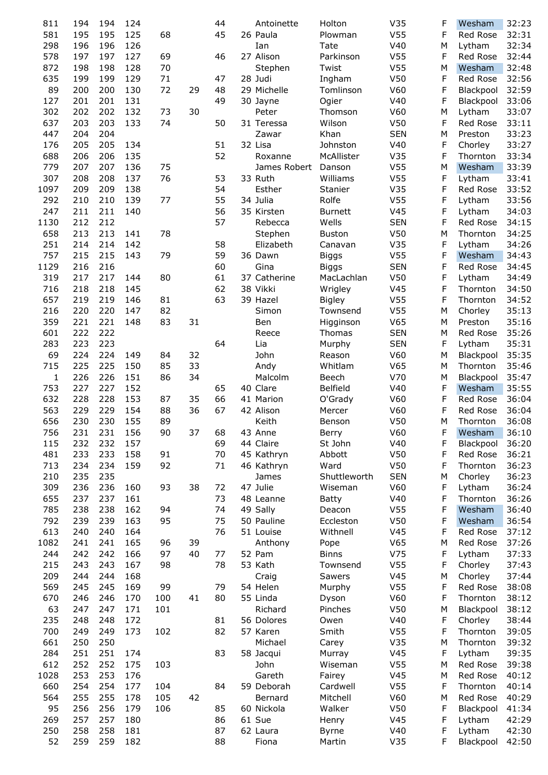| 811          | 194 | 194 | 124 |     |    | 44 | Antoinette   | Holton          | V35             | F | Wesham    | 32:23 |
|--------------|-----|-----|-----|-----|----|----|--------------|-----------------|-----------------|---|-----------|-------|
|              |     |     |     |     |    |    |              |                 |                 |   |           |       |
| 581          | 195 | 195 | 125 | 68  |    | 45 | 26 Paula     | Plowman         | V <sub>55</sub> | F | Red Rose  | 32:31 |
| 298          | 196 | 196 | 126 |     |    |    | Ian          | Tate            | V40             | М | Lytham    | 32:34 |
| 578          | 197 | 197 | 127 | 69  |    | 46 | 27 Alison    | Parkinson       | V <sub>55</sub> | F | Red Rose  | 32:44 |
| 872          | 198 | 198 | 128 | 70  |    |    | Stephen      | Twist           | V <sub>55</sub> | M | Wesham    | 32:48 |
| 635          | 199 | 199 | 129 | 71  |    | 47 | 28 Judi      | Ingham          | V50             | F | Red Rose  | 32:56 |
|              |     |     |     |     |    |    |              |                 |                 |   |           |       |
| 89           | 200 | 200 | 130 | 72  | 29 | 48 | 29 Michelle  | Tomlinson       | V60             | F | Blackpool | 32:59 |
| 127          | 201 | 201 | 131 |     |    | 49 | 30 Jayne     | Ogier           | V40             | F | Blackpool | 33:06 |
| 302          | 202 | 202 | 132 | 73  | 30 |    | Peter        | Thomson         | V60             | М | Lytham    | 33:07 |
| 637          | 203 | 203 | 133 | 74  |    | 50 | 31 Teressa   | Wilson          | V50             | F | Red Rose  | 33:11 |
| 447          | 204 | 204 |     |     |    |    | Zawar        | Khan            | <b>SEN</b>      | M | Preston   | 33:23 |
| 176          | 205 | 205 | 134 |     |    | 51 | 32 Lisa      | Johnston        | V40             | F | Chorley   | 33:27 |
|              |     |     |     |     |    |    |              |                 |                 |   |           |       |
| 688          | 206 | 206 | 135 |     |    | 52 | Roxanne      | McAllister      | V35             | F | Thornton  | 33:34 |
| 779          | 207 | 207 | 136 | 75  |    |    | James Robert | Danson          | V <sub>55</sub> | M | Wesham    | 33:39 |
| 307          | 208 | 208 | 137 | 76  |    | 53 | 33 Ruth      | Williams        | V <sub>55</sub> | F | Lytham    | 33:41 |
| 1097         | 209 | 209 | 138 |     |    | 54 | Esther       | Stanier         | V35             | F | Red Rose  | 33:52 |
| 292          | 210 | 210 | 139 | 77  |    | 55 | 34 Julia     | Rolfe           | V <sub>55</sub> | F | Lytham    | 33:56 |
| 247          | 211 | 211 | 140 |     |    | 56 | 35 Kirsten   |                 | V45             | F | Lytham    | 34:03 |
|              |     |     |     |     |    |    |              | <b>Burnett</b>  |                 |   |           |       |
| 1130         | 212 | 212 |     |     |    | 57 | Rebecca      | Wells           | <b>SEN</b>      | F | Red Rose  | 34:15 |
| 658          | 213 | 213 | 141 | 78  |    |    | Stephen      | <b>Buston</b>   | V50             | M | Thornton  | 34:25 |
| 251          | 214 | 214 | 142 |     |    | 58 | Elizabeth    | Canavan         | V35             | F | Lytham    | 34:26 |
| 757          | 215 | 215 | 143 | 79  |    | 59 | 36 Dawn      | <b>Biggs</b>    | V <sub>55</sub> | F | Wesham    | 34:43 |
| 1129         | 216 | 216 |     |     |    | 60 | Gina         | <b>Biggs</b>    | <b>SEN</b>      | F | Red Rose  | 34:45 |
|              |     |     |     |     |    |    |              |                 | V50             |   |           |       |
| 319          | 217 | 217 | 144 | 80  |    | 61 | 37 Catherine | MacLachlan      |                 | F | Lytham    | 34:49 |
| 716          | 218 | 218 | 145 |     |    | 62 | 38 Vikki     | Wrigley         | V <sub>45</sub> | F | Thornton  | 34:50 |
| 657          | 219 | 219 | 146 | 81  |    | 63 | 39 Hazel     | <b>Bigley</b>   | V <sub>55</sub> | F | Thornton  | 34:52 |
| 216          | 220 | 220 | 147 | 82  |    |    | Simon        | Townsend        | V <sub>55</sub> | М | Chorley   | 35:13 |
| 359          | 221 | 221 | 148 | 83  | 31 |    | Ben          | Higginson       | V65             | М | Preston   | 35:16 |
| 601          | 222 | 222 |     |     |    |    | Reece        | Thomas          | <b>SEN</b>      | М | Red Rose  | 35:26 |
|              |     |     |     |     |    |    |              |                 |                 |   |           |       |
| 283          | 223 | 223 |     |     |    | 64 | Lia          | Murphy          | <b>SEN</b>      | F | Lytham    | 35:31 |
| 69           | 224 | 224 | 149 | 84  | 32 |    | John         | Reason          | V60             | М | Blackpool | 35:35 |
| 715          | 225 | 225 | 150 | 85  | 33 |    | Andy         | Whitlam         | V65             | М | Thornton  | 35:46 |
| $\mathbf{1}$ | 226 | 226 | 151 | 86  | 34 |    | Malcolm      | Beech           | V70             | М | Blackpool | 35:47 |
| 753          | 227 | 227 | 152 |     |    | 65 | 40 Clare     | <b>Belfield</b> | V40             | F | Wesham    | 35:55 |
| 632          | 228 | 228 | 153 | 87  | 35 | 66 | 41 Marion    |                 | V60             | F | Red Rose  | 36:04 |
|              |     |     |     |     |    |    |              | O'Grady         |                 |   |           |       |
| 563          | 229 | 229 | 154 | 88  | 36 | 67 | 42 Alison    | Mercer          | V60             | F | Red Rose  | 36:04 |
| 656          | 230 | 230 | 155 | 89  |    |    | Keith        | Benson          | V50             | М | Thornton  | 36:08 |
| 756          | 231 | 231 | 156 | 90  | 37 | 68 | 43 Anne      | Berry           | V60             | F | Wesham    | 36:10 |
| 115          | 232 | 232 | 157 |     |    | 69 | 44 Claire    | St John         | V40             | F | Blackpool | 36:20 |
| 481          | 233 | 233 | 158 | 91  |    | 70 | 45 Kathryn   | Abbott          | V50             | F | Red Rose  | 36:21 |
| 713          | 234 | 234 | 159 | 92  |    | 71 | 46 Kathryn   | Ward            | V50             | F | Thornton  | 36:23 |
|              |     |     |     |     |    |    |              |                 |                 |   |           |       |
| 210          | 235 | 235 |     |     |    |    | James        | Shuttleworth    | <b>SEN</b>      | М | Chorley   | 36:23 |
| 309          | 236 | 236 | 160 | 93  | 38 | 72 | 47 Julie     | Wiseman         | V60             | F | Lytham    | 36:24 |
| 655          | 237 | 237 | 161 |     |    | 73 | 48 Leanne    | <b>Batty</b>    | V40             | F | Thornton  | 36:26 |
| 785          | 238 | 238 | 162 | 94  |    | 74 | 49 Sally     | Deacon          | V <sub>55</sub> | F | Wesham    | 36:40 |
| 792          | 239 | 239 | 163 | 95  |    | 75 | 50 Pauline   | Eccleston       | V50             | F | Wesham    | 36:54 |
| 613          | 240 | 240 | 164 |     |    | 76 | 51 Louise    | Withnell        | V <sub>45</sub> | F | Red Rose  | 37:12 |
|              |     |     |     |     |    |    |              |                 |                 |   |           |       |
| 1082         | 241 | 241 | 165 | 96  | 39 |    | Anthony      | Pope            | V65             | М | Red Rose  | 37:26 |
| 244          | 242 | 242 | 166 | 97  | 40 | 77 | 52 Pam       | <b>Binns</b>    | V75             | F | Lytham    | 37:33 |
| 215          | 243 | 243 | 167 | 98  |    | 78 | 53 Kath      | Townsend        | V <sub>55</sub> | F | Chorley   | 37:43 |
| 209          | 244 | 244 | 168 |     |    |    | Craig        | Sawers          | V45             | М | Chorley   | 37:44 |
| 569          | 245 | 245 | 169 | 99  |    | 79 | 54 Helen     | Murphy          | V <sub>55</sub> | F | Red Rose  | 38:08 |
|              |     |     |     |     |    |    |              |                 |                 |   |           |       |
| 670          | 246 | 246 | 170 | 100 | 41 | 80 | 55 Linda     | Dyson           | V60             | F | Thornton  | 38:12 |
| 63           | 247 | 247 | 171 | 101 |    |    | Richard      | Pinches         | V50             | М | Blackpool | 38:12 |
| 235          | 248 | 248 | 172 |     |    | 81 | 56 Dolores   | Owen            | V40             | F | Chorley   | 38:44 |
| 700          | 249 | 249 | 173 | 102 |    | 82 | 57 Karen     | Smith           | V <sub>55</sub> | F | Thornton  | 39:05 |
| 661          | 250 | 250 |     |     |    |    | Michael      | Carey           | V35             | М | Thornton  | 39:32 |
| 284          | 251 | 251 | 174 |     |    | 83 | 58 Jacqui    | Murray          | V <sub>45</sub> | F | Lytham    | 39:35 |
|              |     |     |     |     |    |    |              |                 |                 |   |           |       |
| 612          | 252 | 252 | 175 | 103 |    |    | John         | Wiseman         | V <sub>55</sub> | М | Red Rose  | 39:38 |
| 1028         | 253 | 253 | 176 |     |    |    | Gareth       | Fairey          | V45             | М | Red Rose  | 40:12 |
| 660          | 254 | 254 | 177 | 104 |    | 84 | 59 Deborah   | Cardwell        | V <sub>55</sub> | F | Thornton  | 40:14 |
| 564          | 255 | 255 | 178 | 105 | 42 |    | Bernard      | Mitchell        | V60             | М | Red Rose  | 40:29 |
| 95           | 256 | 256 | 179 | 106 |    | 85 | 60 Nickola   | Walker          | V50             | F | Blackpool | 41:34 |
| 269          | 257 | 257 | 180 |     |    | 86 | 61 Sue       | Henry           | V45             | F | Lytham    | 42:29 |
|              |     |     |     |     |    |    |              |                 |                 |   |           |       |
| 250          | 258 | 258 | 181 |     |    | 87 | 62 Laura     | Byrne           | V40             | F | Lytham    | 42:30 |
| 52           | 259 | 259 | 182 |     |    | 88 | Fiona        | Martin          | V35             | F | Blackpool | 42:50 |